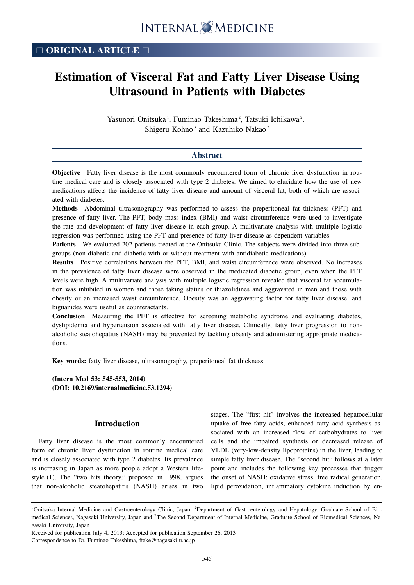# **Estimation of Visceral Fat and Fatty Liver Disease Using Ultrasound in Patients with Diabetes**

Yasunori Onitsuka<sup>1</sup>, Fuminao Takeshima<sup>2</sup>, Tatsuki Ichikawa<sup>2</sup>, Shigeru Kohno<sup>3</sup> and Kazuhiko Nakao<sup>2</sup>

### **Abstract**

**Objective** Fatty liver disease is the most commonly encountered form of chronic liver dysfunction in routine medical care and is closely associated with type 2 diabetes. We aimed to elucidate how the use of new medications affects the incidence of fatty liver disease and amount of visceral fat, both of which are associated with diabetes.

**Methods** Abdominal ultrasonography was performed to assess the preperitoneal fat thickness (PFT) and presence of fatty liver. The PFT, body mass index (BMI) and waist circumference were used to investigate the rate and development of fatty liver disease in each group. A multivariate analysis with multiple logistic regression was performed using the PFT and presence of fatty liver disease as dependent variables.

**Patients** We evaluated 202 patients treated at the Onitsuka Clinic. The subjects were divided into three subgroups (non-diabetic and diabetic with or without treatment with antidiabetic medications).

**Results** Positive correlations between the PFT, BMI, and waist circumference were observed. No increases in the prevalence of fatty liver disease were observed in the medicated diabetic group, even when the PFT levels were high. A multivariate analysis with multiple logistic regression revealed that visceral fat accumulation was inhibited in women and those taking statins or thiazolidines and aggravated in men and those with obesity or an increased waist circumference. Obesity was an aggravating factor for fatty liver disease, and biguanides were useful as counteractants.

**Conclusion** Measuring the PFT is effective for screening metabolic syndrome and evaluating diabetes, dyslipidemia and hypertension associated with fatty liver disease. Clinically, fatty liver progression to nonalcoholic steatohepatitis (NASH) may be prevented by tackling obesity and administering appropriate medications.

**Key words:** fatty liver disease, ultrasonography, preperitoneal fat thickness

**(Intern Med 53: 545-553, 2014) (DOI: 10.2169/internalmedicine.53.1294)**

# **Introduction**

Fatty liver disease is the most commonly encountered form of chronic liver dysfunction in routine medical care and is closely associated with type 2 diabetes. Its prevalence is increasing in Japan as more people adopt a Western lifestyle (1). The "two hits theory," proposed in 1998, argues that non-alcoholic steatohepatitis (NASH) arises in two stages. The "first hit" involves the increased hepatocellular uptake of free fatty acids, enhanced fatty acid synthesis associated with an increased flow of carbohydrates to liver cells and the impaired synthesis or decreased release of VLDL (very-low-density lipoproteins) in the liver, leading to simple fatty liver disease. The "second hit" follows at a later point and includes the following key processes that trigger the onset of NASH: oxidative stress, free radical generation, lipid peroxidation, inflammatory cytokine induction by en-

<sup>&</sup>lt;sup>1</sup>Onitsuka Internal Medicine and Gastroenterology Clinic, Japan, <sup>2</sup>Department of Gastroenterology and Hepatology, Graduate School of Biomedical Sciences, Nagasaki University, Japan and <sup>3</sup>The Second Department of Internal Medicine, Graduate School of Biomedical Sciences, Nagasaki University, Japan

Received for publication July 4, 2013; Accepted for publication September 26, 2013 Correspondence to Dr. Fuminao Takeshima, ftake@nagasaki-u.ac.jp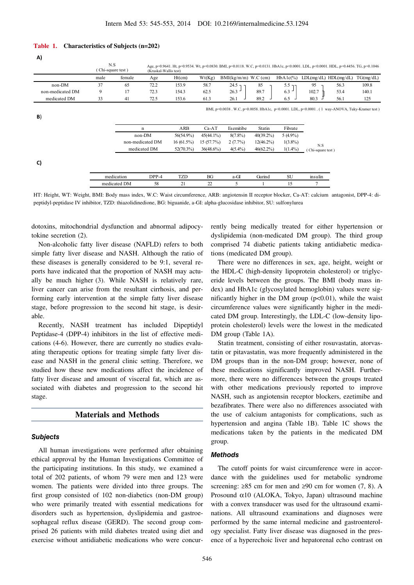#### **Table 1. Characteristics of Subjects (n=202)**

| A)               |                          |              |                       |              |              |                        |              |             |                                                                                                                                      |      |           |
|------------------|--------------------------|--------------|-----------------------|--------------|--------------|------------------------|--------------|-------------|--------------------------------------------------------------------------------------------------------------------------------------|------|-----------|
|                  | N.S<br>(Chi-square test) |              | (Kruskal-Wallis test) |              |              |                        |              |             | Age, p=0.9641. Ht, p=0.9534. Wt, p=0.0830. BMI, p=0.0118. W.C, p=0.0131. HbA1c, p<0.0001. LDL, p<0.0001. HDL, p=0.4456. TG, p=0.1046 |      |           |
|                  | male                     | female       | Age                   | $Ht$ (cm)    | Wt(Kg)       | $BMI(kg/m/m)$ W.C (cm) |              | $HbA1c(\%)$ | $LDL(mg/dL)$ $HDL(mg/dL)$                                                                                                            |      | TG(mg/dL) |
| non-DM           | 37                       | 65           | 72.2                  | 153.9        | 58.7         | $24.5 -$               | 85           | $5.5 -$     | 95                                                                                                                                   | 56.3 | 109.8     |
| non-medicated DM | 9                        | 17           | 72.3                  | 154.3        | 62.5         | 26.3                   | 89.7         | 6.3         | 102.7                                                                                                                                | 53.4 | 140.1     |
| medicated DM     | 33                       | 41           | 72.5                  | 153.6        | 61.3         | 26.1                   | 89.2         | 6.5         | 80.3                                                                                                                                 | 56.1 | 125       |
| B)               |                          |              |                       |              |              |                        |              |             | BMI, p=0.0038. W.C, p=0.0058. HbA1c, p<0.0001. LDL, p<0.0001. (1 way-ANOVA, Tuky-Kramer test)                                        |      |           |
|                  |                          | n            |                       | ARB          | Ca-AT        | Esemitibe              | Statin       | Fibrate     |                                                                                                                                      |      |           |
|                  |                          | non-DM       |                       | 56(54.9%)    | $45(44.1\%)$ | $8(7.8\%)$             | $40(39.2\%)$ | $5(4.9\%)$  |                                                                                                                                      |      |           |
|                  |                          |              | non-medicated DM      |              | 15(57.7%)    | $2(7.7\%)$             | $12(46.2\%)$ | $1(3.8\%)$  | N.S                                                                                                                                  |      |           |
|                  |                          | medicated DM |                       | $52(70.3\%)$ | $36(48.6\%)$ | $4(5.4\%)$             | $46(62.2\%)$ | $1(1.4\%)$  | (Chi-square test)                                                                                                                    |      |           |
| C)               |                          |              |                       | <b>TZD</b>   |              |                        |              |             |                                                                                                                                      |      |           |
|                  |                          | medication   | DPP-4                 |              | BG           | a-GI                   | Gurind       | <b>SU</b>   | insulin                                                                                                                              |      |           |
|                  |                          | medicated DM | 58                    | 21           | 22           | 5                      |              | 15          | 7                                                                                                                                    |      |           |

HT: Height, WT: Weight, BMI: Body mass index, W.C: Waist circumference, ARB: angiotensin II receptor blocker, Ca-AT: calcium antagonist, DPP-4: dipeptidyl-peptidase IV inhibitor, TZD: thiazolidinedione, BG: biguanide, a-GI: alpha-glucosidase inhibitor, SU: sulfonylurea

dotoxins, mitochondrial dysfunction and abnormal adipocytokine secretion (2).

Non-alcoholic fatty liver disease (NAFLD) refers to both simple fatty liver disease and NASH. Although the ratio of these diseases is generally considered to be 9:1, several reports have indicated that the proportion of NASH may actually be much higher (3). While NASH is relatively rare, liver cancer can arise from the resultant cirrhosis, and performing early intervention at the simple fatty liver disease stage, before progression to the second hit stage, is desirable.

Recently, NASH treatment has included Dipeptidyl Peptidase-4 (DPP-4) inhibitors in the list of effective medications (4-6). However, there are currently no studies evaluating therapeutic options for treating simple fatty liver disease and NASH in the general clinic setting. Therefore, we studied how these new medications affect the incidence of fatty liver disease and amount of visceral fat, which are associated with diabetes and progression to the second hit stage.

### **Materials and Methods**

### **Subjects**

All human investigations were performed after obtaining ethical approval by the Human Investigations Committee of the participating institutions. In this study, we examined a total of 202 patients, of whom 79 were men and 123 were women. The patients were divided into three groups. The first group consisted of 102 non-diabetics (non-DM group) who were primarily treated with essential medications for disorders such as hypertension, dyslipidemia and gastroesophageal reflux disease (GERD). The second group comprised 26 patients with mild diabetes treated using diet and exercise without antidiabetic medications who were concurrently being medically treated for either hypertension or dyslipidemia (non-medicated DM group). The third group comprised 74 diabetic patients taking antidiabetic medications (medicated DM group).

There were no differences in sex, age, height, weight or the HDL-C (high-density lipoprotein cholesterol) or triglyceride levels between the groups. The BMI (body mass index) and HbA1c (glycosylated hemoglobin) values were significantly higher in the DM group  $(p<0.01)$ , while the waist circumference values were significantly higher in the medicated DM group. Interestingly, the LDL-C (low-density lipoprotein cholesterol) levels were the lowest in the medicated DM group (Table 1A).

Statin treatment, consisting of either rosuvastatin, atorvastatin or pitavastatin, was more frequently administered in the DM groups than in the non-DM group; however, none of these medications significantly improved NASH. Furthermore, there were no differences between the groups treated with other medications previously reported to improve NASH, such as angiotensin receptor blockers, ezetimibe and bezafibrates. There were also no differences associated with the use of calcium antagonists for complications, such as hypertension and angina (Table 1B). Table 1C shows the medications taken by the patients in the medicated DM group.

### **Methods**

The cutoff points for waist circumference were in accordance with the guidelines used for metabolic syndrome screening:  $\geq 85$  cm for men and  $\geq 90$  cm for women (7, 8). A Prosound  $α10$  (ALOKA, Tokyo, Japan) ultrasound machine with a convex transducer was used for the ultrasound examinations. All ultrasound examinations and diagnoses were performed by the same internal medicine and gastroenterology specialist. Fatty liver disease was diagnosed in the presence of a hyperechoic liver and hepatorenal echo contrast on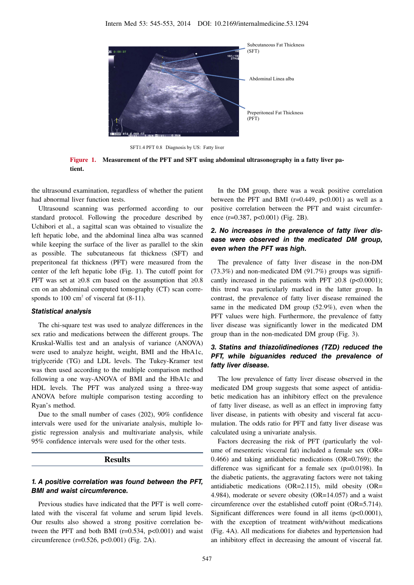

SFT1.4 PFT 0.8 Diagnosis by US: Fatty liver



the ultrasound examination, regardless of whether the patient had abnormal liver function tests.

Ultrasound scanning was performed according to our standard protocol. Following the procedure described by Uchibori et al., a sagittal scan was obtained to visualize the left hepatic lobe, and the abdominal linea alba was scanned while keeping the surface of the liver as parallel to the skin as possible. The subcutaneous fat thickness (SFT) and preperitoneal fat thickness (PFT) were measured from the center of the left hepatic lobe (Fig. 1). The cutoff point for PFT was set at  $\geq 0.8$  cm based on the assumption that  $\geq 0.8$ cm on an abdominal computed tomography (CT) scan corresponds to  $100 \text{ cm}^2$  of visceral fat  $(8-11)$ .

#### **Statistical analysis**

The chi-square test was used to analyze differences in the sex ratio and medications between the different groups. The Kruskal-Wallis test and an analysis of variance (ANOVA) were used to analyze height, weight, BMI and the HbA1c, triglyceride (TG) and LDL levels. The Tukey-Kramer test was then used according to the multiple comparison method following a one way-ANOVA of BMI and the HbA1c and HDL levels. The PFT was analyzed using a three-way ANOVA before multiple comparison testing according to Ryan's method.

Due to the small number of cases (202), 90% confidence intervals were used for the univariate analysis, multiple logistic regression analysis and multivariate analysis, while 95% confidence intervals were used for the other tests.

#### **Results**

### **1. A positive correlation was found between the PFT, BMI and waist circumference.**

Previous studies have indicated that the PFT is well correlated with the visceral fat volume and serum lipid levels. Our results also showed a strong positive correlation between the PFT and both BMI ( $r=0.534$ ,  $p<0.001$ ) and waist circumference (r=0.526, p<0.001) (Fig. 2A).

In the DM group, there was a weak positive correlation between the PFT and BMI ( $r=0.449$ ,  $p<0.001$ ) as well as a positive correlation between the PFT and waist circumference  $(r=0.387, p<0.001)$  (Fig. 2B).

### **2. No increases in the prevalence of fatty liver disease were observed in the medicated DM group, even when the PFT was high.**

The prevalence of fatty liver disease in the non-DM  $(73.3\%)$  and non-medicated DM  $(91.7\%)$  groups was significantly increased in the patients with PFT  $\geq 0.8$  (p<0.0001); this trend was particularly marked in the latter group. In contrast, the prevalence of fatty liver disease remained the same in the medicated DM group (52.9%), even when the PFT values were high. Furthermore, the prevalence of fatty liver disease was significantly lower in the medicated DM group than in the non-medicated DM group (Fig. 3).

# **3. Statins and thiazolidinediones (TZD) reduced the PFT, while biguanides reduced the prevalence of fatty liver disease.**

The low prevalence of fatty liver disease observed in the medicated DM group suggests that some aspect of antidiabetic medication has an inhibitory effect on the prevalence of fatty liver disease, as well as an effect in improving fatty liver disease, in patients with obesity and visceral fat accumulation. The odds ratio for PFT and fatty liver disease was calculated using a univariate analysis.

Factors decreasing the risk of PFT (particularly the volume of mesenteric visceral fat) included a female sex (OR= 0.466) and taking antidiabetic medications (OR=0.769); the difference was significant for a female sex (p=0.0198). In the diabetic patients, the aggravating factors were not taking antidiabetic medications (OR=2.115), mild obesity (OR= 4.984), moderate or severe obesity (OR=14.057) and a waist circumference over the established cutoff point (OR=5.714). Significant differences were found in all items (p<0.0001), with the exception of treatment with/without medications (Fig. 4A). All medications for diabetes and hypertension had an inhibitory effect in decreasing the amount of visceral fat.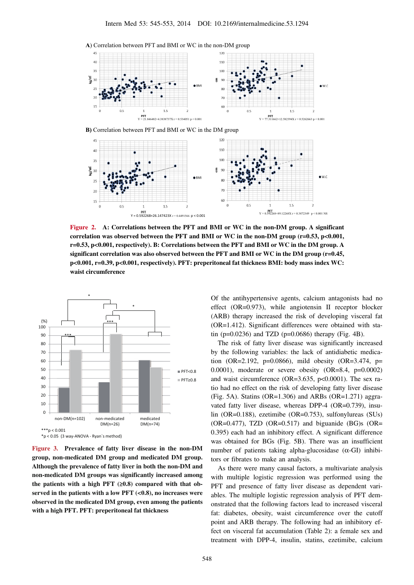



**B)** Correlation between PFT and BMI or WC in the DM group



**Figure 2. A: Correlations between the PFT and BMI or WC in the non-DM group. A significant correlation was observed between the PFT and BMI or WC in the non-DM group (r=0.53, p<0.001, r=0.53, p<0.001, respectively). B: Correlations between the PFT and BMI or WC in the DM group. A significant correlation was also observed between the PFT and BMI or WC in the DM group (r=0.45, p<0.001, r=0.39, p<0.001, respectively). PFT: preperitoneal fat thickness BMI: body mass index WC: waist circumference**



**Figure 3. Prevalence of fatty liver disease in the non-DM group, non-medicated DM group and medicated DM group. Although the prevalence of fatty liver in both the non-DM and non-medicated DM groups was significantly increased among the patients with a high PFT (≥0.8) compared with that observed in the patients with a low PFT (<0.8), no increases were observed in the medicated DM group, even among the patients with a high PFT. PFT: preperitoneal fat thickness**

Of the antihypertensive agents, calcium antagonists had no effect (OR=0.973), while angiotensin II receptor blocker (ARB) therapy increased the risk of developing visceral fat (OR=1.412). Significant differences were obtained with statin ( $p=0.0236$ ) and TZD ( $p=0.0686$ ) therapy (Fig. 4B).

The risk of fatty liver disease was significantly increased by the following variables: the lack of antidiabetic medication (OR=2.192, p=0.0866), mild obesity (OR=3.474, p= 0.0001), moderate or severe obesity (OR=8.4, p=0.0002) and waist circumference (OR=3.635, p<0.0001). The sex ratio had no effect on the risk of developing fatty liver disease (Fig. 5A). Statins ( $OR=1.306$ ) and ARBs ( $OR=1.271$ ) aggravated fatty liver disease, whereas DPP-4 (OR=0.739), insulin (OR=0.188), ezetimibe (OR=0.753), sulfonylureas (SUs)  $(OR=0.477)$ , TZD  $(OR=0.517)$  and biguanide  $(BG)$ s  $(OR=0.477)$ 0.395) each had an inhibitory effect. A significant difference was obtained for BGs (Fig. 5B). There was an insufficient number of patients taking alpha-glucosidase  $(\alpha$ -GI) inhibitors or fibrates to make an analysis.

As there were many causal factors, a multivariate analysis with multiple logistic regression was performed using the PFT and presence of fatty liver disease as dependent variables. The multiple logistic regression analysis of PFT demonstrated that the following factors lead to increased visceral fat: diabetes, obesity, waist circumference over the cutoff point and ARB therapy. The following had an inhibitory effect on visceral fat accumulation (Table 2): a female sex and treatment with DPP-4, insulin, statins, ezetimibe, calcium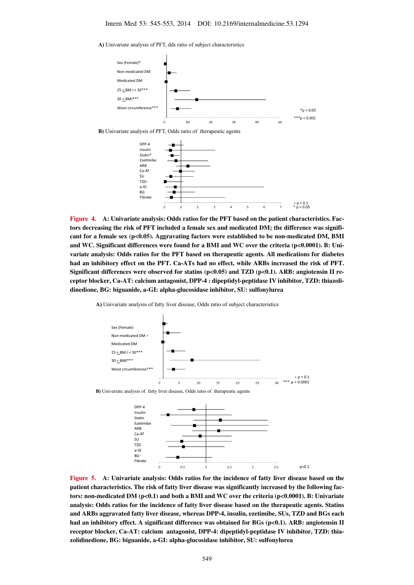**A)** Univariate analysis of PFT, dds ratio of subject characteristics

Fibrate



**Figure 4. A: Univariate analysis: Odds ratios for the PFT based on the patient characteristics. Factors decreasing the risk of PFT included a female sex and medicated DM; the difference was signifi**cant for a female sex (p<0.05). Aggravating factors were established to be non-medicated DM, BMI and WC. Significant differences were found for a BMI and WC over the criteria (p<0.0001). B: Uni**variate analysis: Odds ratios for the PFT based on therapeutic agents. All medications for diabetes had an inhibitory effect on the PFT. Ca-ATs had no effect, while ARBs increased the risk of PFT. Significant differences were observed for statins (p<0.05) and TZD (p<0.1). ARB: angiotensin II receptor blocker, Ca-AT: calcium antagonist, DPP-4 : dipeptidyl-peptidase IV inhibitor, TZD: thiazolidinedione, BG: biguanide, a-GI: alpha-glucosidase inhibitor, SU: sulfonylurea**

ä

 $\overline{a}$ 

 $p < 0.1$ <br>\*  $p < 0.05$ 

**A)** Univariate analysis of fatty liver disease, Odds ratio of subject characteristics



**B)** Univariate analysis of fatty liver disease, Odds ratio of therapeutic agents



**Figure 5. A: Univariate analysis: Odds ratios for the incidence of fatty liver disease based on the patient characteristics. The risk of fatty liver disease was significantly increased by the following factors: non-medicated DM (p<0.1) and both a BMI and WC over the criteria (p<0.0001). B: Univariate analysis: Odds ratios for the incidence of fatty liver disease based on the therapeutic agents. Statins and ARBs aggravated fatty liver disease, whereas DPP-4, insulin, ezetimibe, SUs, TZD and BGs each had an inhibitory effect. A significant difference was obtained for BGs (p<0.1). ARB: angiotensin II receptor blocker, Ca-AT: calcium antagonist, DPP-4: dipeptidyl-peptidase IV inhibitor, TZD: thiazolidinedione, BG: biguanide, a-GI: alpha-glucosidase inhibitor, SU: sulfonylurea**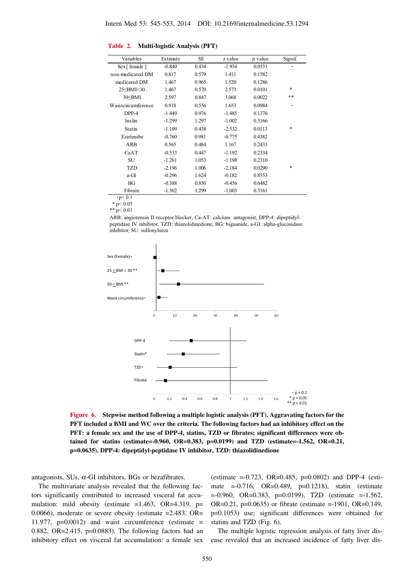#### **Table 2. Multi-logistic Analysis (PFT)**

| Variables                                                                                                       | Estimate | SE    | z value  | p value | Signif. |
|-----------------------------------------------------------------------------------------------------------------|----------|-------|----------|---------|---------|
| $Sex$ [ female ]                                                                                                | $-0.840$ | 0.434 | $-1.934$ | 0.0531  |         |
| non-medicated DM                                                                                                | 0.817    | 0.579 | 1.411    | 0.1582  |         |
| medicared DM                                                                                                    | 1.467    | 0.965 | 1.520    | 0.1286  |         |
| 25 <bmi<30< td=""><td>1.467</td><td>0.570</td><td>2.573</td><td>0.0101</td><td><math>\ast</math></td></bmi<30<> | 1.467    | 0.570 | 2.573    | 0.0101  | $\ast$  |
| 30 <sub>SBMI</sub>                                                                                              | 2.597    | 0.847 | 3.068    | 0.0022  | **      |
| Waistcircumference                                                                                              | 0.918    | 0.556 | 1.653    | 0.0984  | ٠       |
| DPP-4                                                                                                           | $-1.449$ | 0.976 | $-1.485$ | 0.1376  |         |
| Inslin                                                                                                          | $-1.299$ | 1.297 | $-1.002$ | 0.3166  |         |
| Statin                                                                                                          | $-1.109$ | 0.438 | $-2.532$ | 0.0113  | $\ast$  |
| Ezetimibe                                                                                                       | $-0.760$ | 0.981 | $-0.775$ | 0.4382  |         |
| ARB                                                                                                             | 0.565    | 0.484 | 1.167    | 0.2433  |         |
| CaAT                                                                                                            | $-0.533$ | 0.447 | $-1.192$ | 0.2334  |         |
| SU                                                                                                              | $-1.261$ | 1.053 | $-1.198$ | 0.2310  |         |
| TZD                                                                                                             | $-2.196$ | 1.006 | $-2.184$ | 0.0290  | *       |
| a-GI                                                                                                            | $-0.296$ | 1.624 | $-0.182$ | 0.8553  |         |
| BG                                                                                                              | $-0.388$ | 0.850 | $-0.456$ | 0.6482  |         |
| Fibrate                                                                                                         | $-1.302$ | 1.299 | $-1.003$ | 0.3161  |         |

 $\cdot p < 0.1$ 

 $*$  p< 0.05 \*\*  $p < 0.01$ 

ARB: angiotensin II receptor blocker, Ca-AT: calcium antagonist, DPP-4: dipeptidylpeptidase IV inhibitor, TZD: thiazolidinedione, BG: biguanide, a-GI: alpha-glucosidase inhibitor, SU: sulfonylurea



**Figure 6. Stepwise method following a multiple logistic analysis (PFT). Aggravating factors for the PFT included a BMI and WC over the criteria. The following factors had an inhibitory effect on the PFT: a female sex and the use of DPP-4, statins, TZD or fibrates; significant differences were obtained for statins (estimate=-0.960, OR=0.383, p=0.0199) and TZD (estimate=-1.562, OR=0.21, p=0.0635). DPP-4: dipeptidyl-peptidase IV inhibitor, TZD: thiazolidinedione**

antagonists, SUs, α-GI inhibitors, BGs or bezafibrates.

The multivariate analysis revealed that the following factors significantly contributed to increased visceral fat accumulation: mild obesity (estimate  $=1.463$ , OR=4.319, p= 0.0066), moderate or severe obesity (estimate =2.483, OR= 11.977,  $p=0.0012$ ) and waist circumference (estimate = 0.882, OR=2.415, p=0.0883). The following factors had an inhibitory effect on visceral fat accumulation: a female sex

(estimate  $= -0.723$ , OR $= 0.485$ ,  $p = 0.0802$ ) and DPP-4 (estimate =-0.716, OR=0.489, p=0.1218), statin (estimate =-0.960, OR=0.383, p=0.0199), TZD (estimate =-1.562, OR=0.21, p=0.0635) or fibrate (estimate =-1901, OR=0.149, p=0.1053) use; significant differences were obtained for statins and TZD (Fig. 6).

The multiple logistic regression analysis of fatty liver disease revealed that an increased incidence of fatty liver dis-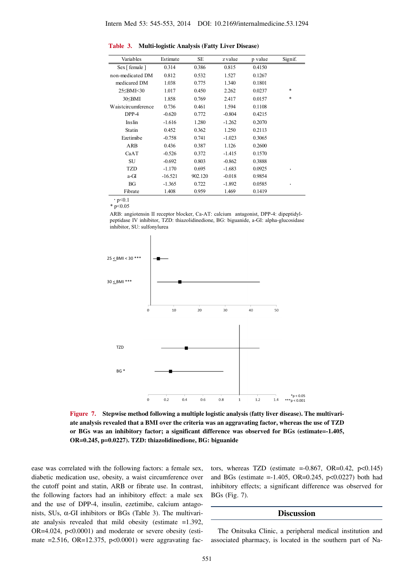| Variables                                                                                       | Estimate  | SE      | z value  | p value | Signif. |
|-------------------------------------------------------------------------------------------------|-----------|---------|----------|---------|---------|
| $Sex$ [ female ]                                                                                | 0.314     | 0.386   | 0.815    | 0.4150  |         |
| non-medicated DM                                                                                | 0.812     | 0.532   | 1.527    | 0.1267  |         |
| medicared DM                                                                                    | 1.038     | 0.775   | 1.340    | 0.1801  |         |
| 25 <bmi<30< td=""><td>1.017</td><td>0.450</td><td>2.262</td><td>0.0237</td><td>*</td></bmi<30<> | 1.017     | 0.450   | 2.262    | 0.0237  | *       |
| $30<$ BMI                                                                                       | 1.858     | 0.769   | 2.417    | 0.0157  | *       |
| Waistcircumference                                                                              | 0.736     | 0.461   | 1.594    | 0.1108  |         |
| DPP-4                                                                                           | $-0.620$  | 0.772   | $-0.804$ | 0.4215  |         |
| Inslin                                                                                          | $-1.616$  | 1.280   | $-1.262$ | 0.2070  |         |
| Statin                                                                                          | 0.452     | 0.362   | 1.250    | 0.2113  |         |
| Ezetimibe                                                                                       | $-0.758$  | 0.741   | $-1.023$ | 0.3065  |         |
| ARB                                                                                             | 0.436     | 0.387   | 1.126    | 0.2600  |         |
| CaAT                                                                                            | $-0.526$  | 0.372   | $-1.415$ | 0.1570  |         |
| SU                                                                                              | $-0.692$  | 0.803   | $-0.862$ | 0.3888  |         |
| TZD                                                                                             | $-1.170$  | 0.695   | $-1.683$ | 0.0925  | ٠       |
| a-GI                                                                                            | $-16.521$ | 902.120 | $-0.018$ | 0.9854  |         |
| BG                                                                                              | $-1.365$  | 0.722   | $-1.892$ | 0.0585  |         |
| Fibrate                                                                                         | 1.408     | 0.959   | 1.469    | 0.1419  |         |

**Table 3. Multi-logistic Analysis (Fatty Liver Disease)**

 $\cdot$  p<0.1  $*$  p<0.05

ARB: angiotensin II receptor blocker, Ca-AT: calcium antagonist, DPP-4: dipeptidylpeptidase IV inhibitor, TZD: thiazolidinedione, BG: biguanide, a-GI: alpha-glucosidase inhibitor, SU: sulfonylurea



**Figure 7. Stepwise method following a multiple logistic analysis (fatty liver disease). The multivariate analysis revealed that a BMI over the criteria was an aggravating factor, whereas the use of TZD or BGs was an inhibitory factor; a significant difference was observed for BGs (estimate=-1.405, OR=0.245, p=0.0227). TZD: thiazolidinedione, BG: biguanide**

ease was correlated with the following factors: a female sex, diabetic medication use, obesity, a waist circumference over the cutoff point and statin, ARB or fibrate use. In contrast, the following factors had an inhibitory effect: a male sex and the use of DPP-4, insulin, ezetimibe, calcium antagonists, SUs, α-GI inhibitors or BGs (Table 3). The multivariate analysis revealed that mild obesity (estimate  $=1.392$ , OR=4.024, p<0.0001) and moderate or severe obesity (estimate =2.516, OR=12.375,  $p<0.0001$ ) were aggravating factors, whereas TZD (estimate  $=-0.867$ , OR=0.42, p<0.145) and BGs (estimate =-1.405, OR=0.245, p<0.0227) both had inhibitory effects; a significant difference was observed for BGs (Fig. 7).

### **Discussion**

The Onitsuka Clinic, a peripheral medical institution and associated pharmacy, is located in the southern part of Na-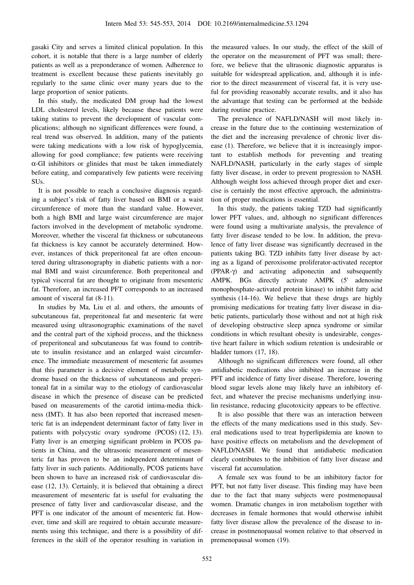gasaki City and serves a limited clinical population. In this cohort, it is notable that there is a large number of elderly patients as well as a preponderance of women. Adherence to treatment is excellent because these patients inevitably go regularly to the same clinic over many years due to the large proportion of senior patients.

In this study, the medicated DM group had the lowest LDL cholesterol levels, likely because these patients were taking statins to prevent the development of vascular complications; although no significant differences were found, a real trend was observed. In addition, many of the patients were taking medications with a low risk of hypoglycemia, allowing for good compliance; few patients were receiving  $\alpha$ -GI inhibitors or glinides that must be taken immediately before eating, and comparatively few patients were receiving SUs.

It is not possible to reach a conclusive diagnosis regarding a subject's risk of fatty liver based on BMI or a waist circumference of more than the standard value. However, both a high BMI and large waist circumference are major factors involved in the development of metabolic syndrome. Moreover, whether the visceral fat thickness or subcutaneous fat thickness is key cannot be accurately determined. However, instances of thick preperitoneal fat are often encountered during ultrasonography in diabetic patients with a normal BMI and waist circumference. Both preperitoneal and typical visceral fat are thought to originate from mesenteric fat. Therefore, an increased PFT corresponds to an increased amount of visceral fat (8-11).

In studies by Ma, Liu et al. and others, the amounts of subcutaneous fat, preperitoneal fat and mesenteric fat were measured using ultrasonographic examinations of the navel and the central part of the xiphoid process, and the thickness of preperitoneal and subcutaneous fat was found to contribute to insulin resistance and an enlarged waist circumference. The immediate measurement of mesenteric fat assumes that this parameter is a decisive element of metabolic syndrome based on the thickness of subcutaneous and preperitoneal fat in a similar way to the etiology of cardiovascular disease in which the presence of disease can be predicted based on measurements of the carotid intima-media thickness (IMT). It has also been reported that increased mesenteric fat is an independent determinant factor of fatty liver in patients with polycystic ovary syndrome (PCOS) (12, 13). Fatty liver is an emerging significant problem in PCOS patients in China, and the ultrasonic measurement of mesenteric fat has proven to be an independent determinant of fatty liver in such patients. Additionally, PCOS patients have been shown to have an increased risk of cardiovascular disease (12, 13). Certainly, it is believed that obtaining a direct measurement of mesenteric fat is useful for evaluating the presence of fatty liver and cardiovascular disease, and the PFT is one indicator of the amount of mesenteric fat. However, time and skill are required to obtain accurate measurements using this technique, and there is a possibility of differences in the skill of the operator resulting in variation in the measured values. In our study, the effect of the skill of the operator on the measurement of PFT was small; therefore, we believe that the ultrasonic diagnostic apparatus is suitable for widespread application, and, although it is inferior to the direct measurement of visceral fat, it is very useful for providing reasonably accurate results, and it also has the advantage that testing can be performed at the bedside during routine practice.

The prevalence of NAFLD/NASH will most likely increase in the future due to the continuing westernization of the diet and the increasing prevalence of chronic liver disease (1). Therefore, we believe that it is increasingly important to establish methods for preventing and treating NAFLD/NASH, particularly in the early stages of simple fatty liver disease, in order to prevent progression to NASH. Although weight loss achieved through proper diet and exercise is certainly the most effective approach, the administration of proper medications is essential.

In this study, the patients taking TZD had significantly lower PFT values, and, although no significant differences were found using a multivariate analysis, the prevalence of fatty liver disease tended to be low. In addition, the prevalence of fatty liver disease was significantly decreased in the patients taking BG. TZD inhibits fatty liver disease by acting as a ligand of peroxisome proliferator-activated receptor (PPAR-γ) and activating adiponectin and subsequently AMPK. BGs directly activate AMPK (5' adenosine monophosphate-activated protein kinase) to inhibit fatty acid synthesis (14-16). We believe that these drugs are highly promising medications for treating fatty liver disease in diabetic patients, particularly those without and not at high risk of developing obstructive sleep apnea syndrome or similar conditions in which resultant obesity is undesirable, congestive heart failure in which sodium retention is undesirable or bladder tumors (17, 18).

Although no significant differences were found, all other antidiabetic medications also inhibited an increase in the PFT and incidence of fatty liver disease. Therefore, lowering blood sugar levels alone may likely have an inhibitory effect, and whatever the precise mechanisms underlying insulin resistance, reducing glucotoxicity appears to be effective.

It is also possible that there was an interaction between the effects of the many medications used in this study. Several medications used to treat hyperlipidemia are known to have positive effects on metabolism and the development of NAFLD/NASH. We found that antidiabetic medication clearly contributes to the inhibition of fatty liver disease and visceral fat accumulation.

A female sex was found to be an inhibitory factor for PFT, but not fatty liver disease. This finding may have been due to the fact that many subjects were postmenopausal women. Dramatic changes in iron metabolism together with decreases in female hormones that would otherwise inhibit fatty liver disease allow the prevalence of the disease to increase in postmenopausal women relative to that observed in premenopausal women (19).